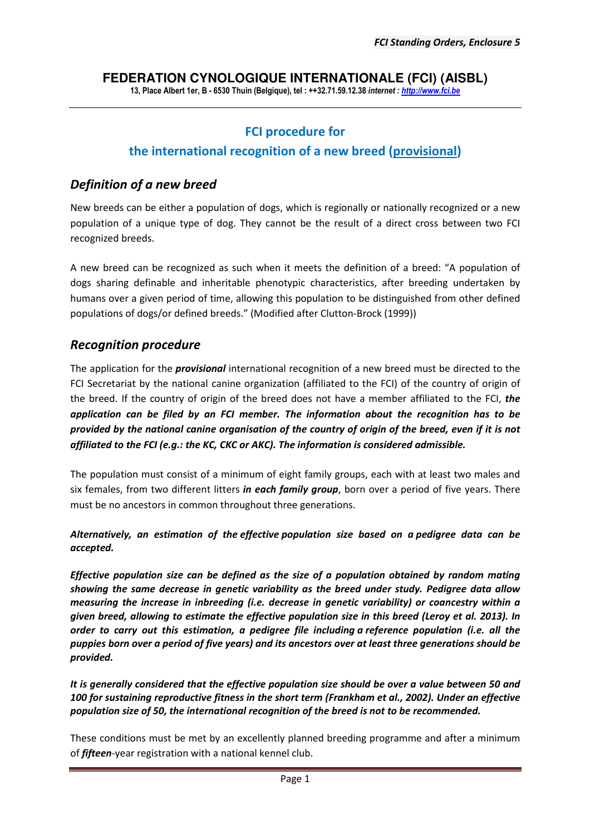# **FEDERATION CYNOLOGIQUE INTERNATIONALE (FCI) (AISBL)**

**13, Place Albert 1er, B - 6530 Thuin (Belgique), tel : ++32.71.59.12.38** *internet : http://www.fci.be*

# **FCI procedure for**

### **the international recognition of a new breed (provisional)**

## *Definition of a new breed*

New breeds can be either a population of dogs, which is regionally or nationally recognized or a new population of a unique type of dog. They cannot be the result of a direct cross between two FCI recognized breeds.

A new breed can be recognized as such when it meets the definition of a breed: "A population of dogs sharing definable and inheritable phenotypic characteristics, after breeding undertaken by humans over a given period of time, allowing this population to be distinguished from other defined populations of dogs/or defined breeds." (Modified after Clutton-Brock (1999))

### *Recognition procedure*

The application for the *provisional* international recognition of a new breed must be directed to the FCI Secretariat by the national canine organization (affiliated to the FCI) of the country of origin of the breed. If the country of origin of the breed does not have a member affiliated to the FCI, *the application can be filed by an FCI member. The information about the recognition has to be provided by the national canine organisation of the country of origin of the breed, even if it is not affiliated to the FCI (e.g.: the KC, CKC or AKC). The information is considered admissible.*

The population must consist of a minimum of eight family groups, each with at least two males and six females, from two different litters *in each family group*, born over a period of five years. There must be no ancestors in common throughout three generations.

*Alternatively, an estimation of the effective population size based on a pedigree data can be accepted.* 

*Effective population size can be defined as the size of a population obtained by random mating showing the same decrease in genetic variability as the breed under study. Pedigree data allow measuring the increase in inbreeding (i.e. decrease in genetic variability) or coancestry within a given breed, allowing to estimate the effective population size in this breed (Leroy et al. 2013). In order to carry out this estimation, a pedigree file including a reference population (i.e. all the puppies born over a period of five years) and its ancestors over at least three generations should be provided.* 

*It is generally considered that the effective population size should be over a value between 50 and 100 for sustaining reproductive fitness in the short term (Frankham et al., 2002). Under an effective population size of 50, the international recognition of the breed is not to be recommended.*

These conditions must be met by an excellently planned breeding programme and after a minimum of *fifteen*-year registration with a national kennel club.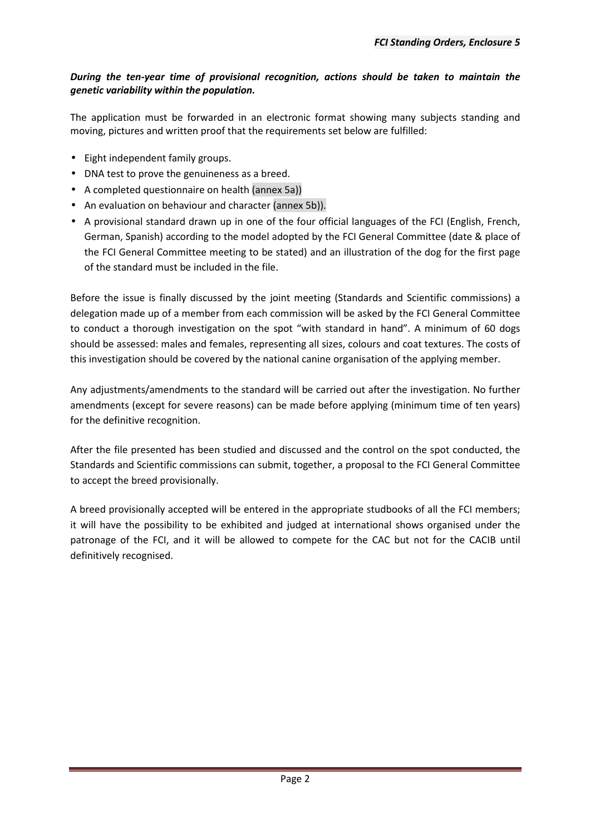#### *During the ten-year time of provisional recognition, actions should be taken to maintain the genetic variability within the population.*

The application must be forwarded in an electronic format showing many subjects standing and moving, pictures and written proof that the requirements set below are fulfilled:

- Eight independent family groups.
- DNA test to prove the genuineness as a breed.
- A completed questionnaire on health (annex 5a))
- An evaluation on behaviour and character (annex 5b)).
- A provisional standard drawn up in one of the four official languages of the FCI (English, French, German, Spanish) according to the model adopted by the FCI General Committee (date & place of the FCI General Committee meeting to be stated) and an illustration of the dog for the first page of the standard must be included in the file.

Before the issue is finally discussed by the joint meeting (Standards and Scientific commissions) a delegation made up of a member from each commission will be asked by the FCI General Committee to conduct a thorough investigation on the spot "with standard in hand". A minimum of 60 dogs should be assessed: males and females, representing all sizes, colours and coat textures. The costs of this investigation should be covered by the national canine organisation of the applying member.

Any adjustments/amendments to the standard will be carried out after the investigation. No further amendments (except for severe reasons) can be made before applying (minimum time of ten years) for the definitive recognition.

After the file presented has been studied and discussed and the control on the spot conducted, the Standards and Scientific commissions can submit, together, a proposal to the FCI General Committee to accept the breed provisionally.

A breed provisionally accepted will be entered in the appropriate studbooks of all the FCI members; it will have the possibility to be exhibited and judged at international shows organised under the patronage of the FCI, and it will be allowed to compete for the CAC but not for the CACIB until definitively recognised.